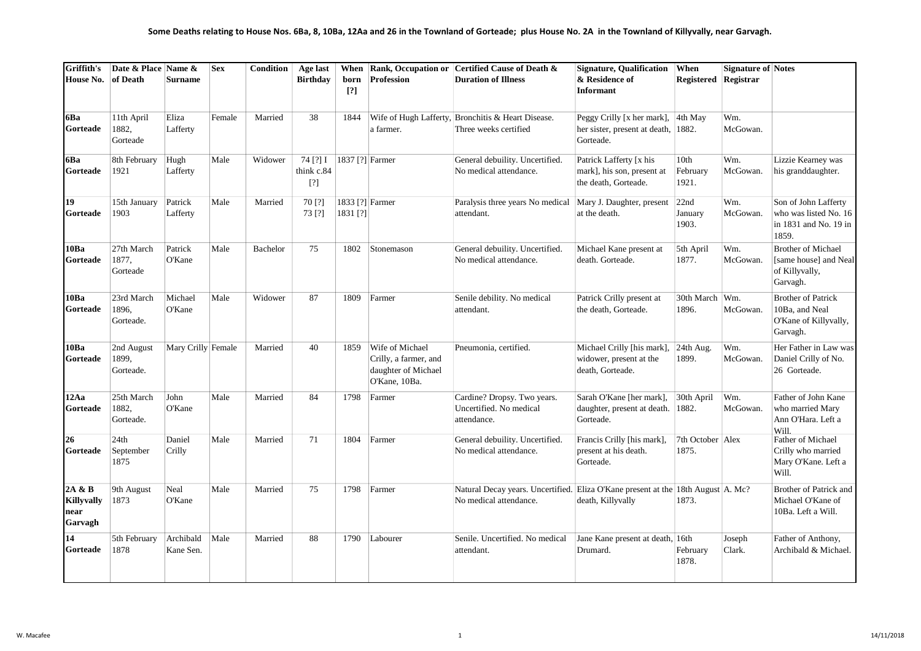| Griffith's<br>House No.                        | Date & Place Name &<br>of Death  | <b>Surname</b>         | <b>Sex</b> | <b>Condition</b> | Age last<br><b>Birthdav</b>   | born<br>[?]                 | <b>Profession</b>                                                                | When Rank, Occupation or Certified Cause of Death &<br><b>Duration of Illness</b>                          | Signature, Qualification When<br>& Residence of<br><b>Informant</b>                        | Registered Registrar        | <b>Signature of Notes</b> |                                                                                  |
|------------------------------------------------|----------------------------------|------------------------|------------|------------------|-------------------------------|-----------------------------|----------------------------------------------------------------------------------|------------------------------------------------------------------------------------------------------------|--------------------------------------------------------------------------------------------|-----------------------------|---------------------------|----------------------------------------------------------------------------------|
| 6Ba<br>Gorteade                                | 11th April<br>1882,<br>Gorteade  | Eliza<br>Lafferty      | Female     | Married          | 38                            | 1844                        | a farmer.                                                                        | Wife of Hugh Lafferty, Bronchitis & Heart Disease.<br>Three weeks certified                                | Peggy Crilly [x her mark], $ 4$ th May<br>her sister, present at death, 1882.<br>Gorteade. |                             | Wm.<br>McGowan.           |                                                                                  |
| 6Ba<br>Gorteade                                | 8th February<br>1921             | Hugh<br>Lafferty       | Male       | Widower          | 74 [?] I<br>think c.84<br>[?] | [1837 [?] Farmer            |                                                                                  | General debuility. Uncertified.<br>No medical attendance.                                                  | Patrick Lafferty [x his<br>mark], his son, present at<br>the death, Gorteade.              | 10th<br>February<br>1921.   | Wm.<br>McGowan.           | Lizzie Kearney was<br>his granddaughter.                                         |
| 19<br>Gorteade                                 | 15th January<br>1903             | Patrick<br>Lafferty    | Male       | Married          | 70 [?]<br>73 [?]              | 1833 [?] Farmer<br>1831 [?] |                                                                                  | Paralysis three years No medical<br>attendant.                                                             | Mary J. Daughter, present<br>at the death.                                                 | 22nd<br>January<br>1903.    | Wm.<br>McGowan.           | Son of John Lafferty<br>who was listed No. 16<br>in 1831 and No. 19 in<br>1859.  |
| 10Ba<br>Gorteade                               | 27th March<br>1877,<br>Gorteade  | Patrick<br>O'Kane      | Male       | Bachelor         | 75                            | 1802                        | Stonemason                                                                       | General debuility. Uncertified.<br>No medical attendance.                                                  | Michael Kane present at<br>death. Gorteade.                                                | 5th April<br>1877.          | Wm.<br>McGowan.           | <b>Brother of Michael</b><br>[same house] and Neal<br>of Killyvally,<br>Garvagh. |
| 10Ba<br>Gorteade                               | 23rd March<br>1896,<br>Gorteade. | Michael<br>O'Kane      | Male       | Widower          | 87                            | 1809                        | Farmer                                                                           | Senile debility. No medical<br>attendant.                                                                  | Patrick Crilly present at<br>the death, Gorteade.                                          | 30th March   Wm.<br>1896.   | McGowan.                  | <b>Brother of Patrick</b><br>10Ba, and Neal<br>O'Kane of Killyvally,<br>Garvagh. |
| 10Ba<br>Gorteade                               | 2nd August<br>1899,<br>Gorteade. | Mary Crilly Female     |            | Married          | 40                            | 1859                        | Wife of Michael<br>Crilly, a farmer, and<br>daughter of Michael<br>O'Kane, 10Ba. | Pneumonia, certified.                                                                                      | Michael Crilly [his mark],<br>widower, present at the<br>death, Gorteade.                  | 24th Aug.<br>1899.          | Wm.<br>McGowan.           | Her Father in Law was<br>Daniel Crilly of No.<br>26 Gorteade.                    |
| 12Aa<br>Gorteade                               | 25th March<br>1882.<br>Gorteade. | John<br>O'Kane         | Male       | Married          | 84                            | 1798                        | Farmer                                                                           | Cardine? Dropsy. Two years.<br>Uncertified. No medical<br>attendance.                                      | Sarah O'Kane [her mark],<br>daughter, present at death. 1882.<br>Gorteade.                 | 30th April                  | Wm.<br>McGowan.           | Father of John Kane<br>who married Mary<br>Ann O'Hara. Left a<br>Will.           |
| 26<br>Gorteade                                 | 24th<br>September<br>1875        | Daniel<br>Crilly       | Male       | Married          | 71                            | 1804                        | Farmer                                                                           | General debuility. Uncertified.<br>No medical attendance.                                                  | Francis Crilly [his mark],<br>present at his death.<br>Gorteade.                           | 7th October   Alex<br>1875. |                           | Father of Michael<br>Crilly who married<br>Mary O'Kane. Left a<br>Will.          |
| 2A & B<br><b>Killyvally</b><br>near<br>Garvagh | 9th August<br>1873               | Neal<br>O'Kane         | Male       | Married          | 75                            | 1798                        | Farmer                                                                           | Natural Decay years. Uncertified. Eliza O'Kane present at the 18th August A. Mc?<br>No medical attendance. | death, Killyvally                                                                          | 1873.                       |                           | Brother of Patrick and<br>Michael O'Kane of<br>10Ba. Left a Will.                |
| 14<br>Gorteade                                 | 5th February<br>1878             | Archibald<br>Kane Sen. | Male       | Married          | 88                            | 1790                        | Labourer                                                                         | Senile. Uncertified. No medical<br>attendant.                                                              | Jane Kane present at death, 16th<br>Drumard.                                               | February<br>1878.           | Joseph<br>Clark.          | Father of Anthony,<br>Archibald & Michael.                                       |